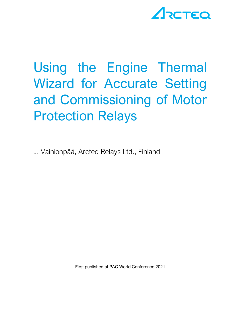# ARCTEQ

# Using the Engine Thermal Wizard for Accurate Setting and Commissioning of Motor Protection Relays

J. Vainionpää, Arcteq Relays Ltd., Finland

First published at PAC World Conference 2021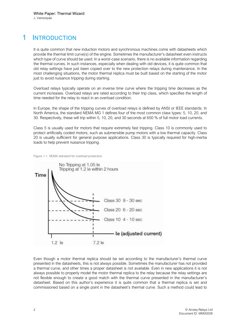### 1 INTRODUCTION

It is quite common that new induction motors and synchronous machines come with datasheets which provide the thermal limit curve(s) of the engine. Sometimes the manufacturer's datasheet even instructs which type of curve should be used. In a worst-case scenario, there is no available information regarding the thermal curves. In such instances, especially when dealing with old devices, it is quite common that old relay settings have just been copied over to the new protection relays during maintenance. In the most challenging situations, the motor thermal replica must be built based on the starting of the motor just to avoid nuisance tripping during starting.

Overload relays typically operate on an inverse time curve where the tripping time decreases as the current increases. Overload relays are rated according to their trip class, which specifies the length of time needed for the relay to react in an overload condition.

In Europe, the shape of the tripping curves of overload relays is defined by ANSI or IEEE standards. In North America, the standard NEMA MG 1 defines four of the most common class types: 5, 10, 20, and 30. Respectively, these will trip within 5, 10, 20, and 30 seconds at 600 % of full motor load currents.

Class 5 is usually used for motors that require extremely fast tripping. Class 10 is commonly used to protect artificially cooled motors, such as submersible pump motors with a low thermal capacity. Class 20 is usually sufficient for general purpose applications. Class 30 is typically required for high-inertia loads to help prevent nuisance tripping.





Even though a motor thermal replica should be set according to the manufacturer's thermal curve presented in the datasheets, this is not always possible. Sometimes the manufacturer has not provided a thermal curve, and other times a proper datasheet is not available. Even in new applications it is not always possible to properly model the motor thermal replica to the relay because the relay settings are not flexible enough to create a good match with the thermal curve presented in the manufacturer's datasheet. Based on this author's experience it is quite common that a thermal replica is set and commissioned based on a single point in the datasheet's thermal curve. Such a method could lead to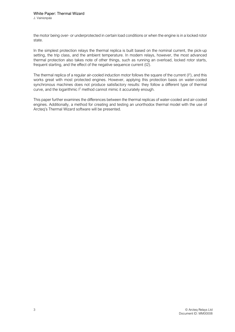the motor being over- or underprotected in certain load conditions or when the engine is in a locked rotor state.

In the simplest protection relays the thermal replica is built based on the nominal current, the pick-up setting, the trip class, and the ambient temperature. In modern relays, however, the most advanced thermal protection also takes note of other things, such as running an overload, locked rotor starts, frequent starting, and the effect of the negative sequence current (I2).

The thermal replica of a regular air-cooled induction motor follows the square of the current  $(I^2)$ , and this works great with most protected engines. However, applying this protection basis on water-cooled synchronous machines does not produce satisfactory results: they follow a different type of thermal curve, and the logarithmic I<sup>2</sup> method cannot mimic it accurately enough.

This paper further examines the differences between the thermal replicas of water-cooled and air-cooled engines. Additionally, a method for creating and testing an unorthodox thermal model with the use of Arcteq's Thermal Wizard software will be presented.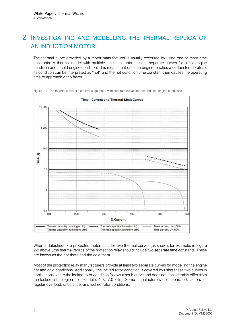### 2 INVESTIGATING AND MODELLING THE THERMAL REPLICA OF AN INDUCTION MOTOR

The thermal curve provided by a motor manufacturer is usually executed by using one or more time constants. A thermal model with multiple time constants includes separate curves for a hot engine condition and a cold engine condition. This means that once an engine reaches a certain temperature, its condition can be interpreted as "hot" and the hot condition time constant then causes the operating time to approach a trip faster.



Figure 2-1. The thermal curve of a squirrel cage motor with separate curves for hot and cold engine conditions.

When a datasheet of a protected motor includes two thermal curves (as shown, for example, in Figure 2-1 above), the thermal replica of the protection relay should include two separate time constants. These are known as the hot theta and the cold theta.

Most of the protection relay manufacturers provide at least two separate curves for modelling the engine hot and cold conditions. Additionally, the locked rotor condition is covered by using these two curves in applications where the locked rotor condition follows a set  $l^2$  curve and does not considerably differ from the locked rotor region (for example,  $4.0...7.0 \times \ln$ ). Some manufacturers use separate k factors for regular overload, unbalance, and locked rotor conditions.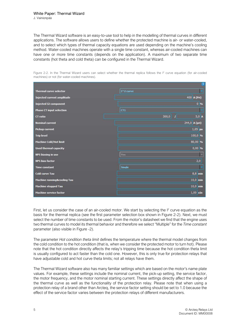The Thermal Wizard software is an easy-to-use tool to help in the modelling of thermal curves in different applications. The software allows users to define whether the protected machine is air- or water-cooled, and to select which types of thermal capacity equations are used depending on the machine's cooling method. Water-cooled machines operate with a single time constant, whereas air-cooled machines can have one or more time constants (depends on the application). A maximum of two separate time constants (hot theta and cold theta) can be configured in the Thermal Wizard.

Figure 2-2. In the Thermal Wizard users can select whether the thermal replica follows the  $I^2$  curve equation (for air-cooled machines) or not (for water-cooled machines).

|                                        | ă.                                 |
|----------------------------------------|------------------------------------|
| <b>Thermal curve selector</b>          | I <sup>^2</sup> curve              |
| Injected current amplitude             | 400 A (Pri)                        |
| <b>Injected I2 component</b>           | $0 - 96$                           |
| <b>Phase CT input selection</b>        | CT1                                |
| <b>CT</b> ratio                        | $\overline{I}$<br>$5,0$ A<br>300,0 |
| <b>Nominal current</b>                 | 244,0 A (pri)                      |
| <b>Pickup current</b>                  | $1,05$ pu                          |
| <b>Trip level</b>                      | 100,0 %                            |
| <b>Machine Cold/Hot limit</b>          | 80,00 %                            |
| <b>Used thermal capacity</b>           | $0,00$ %                           |
| <b>NPS biasing in use</b>              | Yes                                |
| <b>NPS bias factor</b>                 | 2,0                                |
| <b>Time constant</b>                   | Single                             |
| <b>Cold curve Tau</b>                  | $8,8$ min                          |
| <b>Machine running&amp;cooling Tau</b> | $10,0$ min                         |
| <b>Machine stopped Tau</b>             | $10,0$ min                         |
| <b>Machine service factor</b>          | $1,00$ xIn                         |

First, let us consider the case of an air-cooled motor. We start by selecting the  $I^2$  curve equation as the basis for the thermal replica (see the first parameter selection box shown in Figure 2-2). Next, we must select the number of time constants to be used. From the motor's datasheet we find that the engine uses two thermal curves to model its thermal behavior and therefore we select "Multiple" for the Time constant parameter (also visible in Figure -2).

The parameter Hot condition theta limit defines the temperature where the thermal model changes from the cold condition to the hot condition (that is, when we consider the protected motor to turn hot). Please note that the hot condition directly affects the relay's tripping time because the hot condition theta limit is usually configured to act faster than the cold one. However, this is only true for protection relays that have adjustable cold and hot curve theta limits; not all relays have them.

The Thermal Wizard software also has many familiar settings which are based on the motor's name plate values. For example, these settings include the nominal current, the pick-up setting, the service factor, the motor frequency, and the motor nominal starting current. These settings directly affect the shape of the thermal curve as well as the functionality of the protection relay. Please note that when using a protection relay of a brand other than Arcteq, the service factor setting should be set to 1.0 because the effect of the service factor varies between the protection relays of different manufacturers.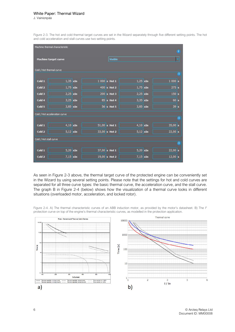#### White Paper: Thermal Wizard

J. Vainionpää

Figure 2-3. The hot and cold thermal target curves are set in the Wizard separately through five different setting points. The hot and cold acceleration and stall curves use two setting points.

|                          | Machine thermal characteristic |  |  |                 |            |            |                | п         |
|--------------------------|--------------------------------|--|--|-----------------|------------|------------|----------------|-----------|
|                          | Machine target curve           |  |  | Visible         |            |            |                | J         |
| Cold / Hot thermal curve |                                |  |  |                 |            |            |                | <b>M</b>  |
|                          |                                |  |  |                 |            |            |                |           |
| Cold 1                   | $1,35$ xIn                     |  |  | $1000s$ Hot 1   | $1,25$ xIn |            | 1000s          |           |
| Cold <sub>2</sub>        | $1,75$ xIn                     |  |  | $400 s$ Hot 2   | $1,75$ xIn |            | $275$ s        |           |
| Cold 3                   | $2,25$ xIn                     |  |  | $200 s$ Hot 3   |            | $2,25$ xIn | 150 s          |           |
| Cold 4                   | $3,25$ xIn                     |  |  | $85$ s Hot 4    |            | $3,35$ xIn | 60 s           |           |
| Cold 5                   | $3,85$ xIn                     |  |  | 56 s Hot 5      | $3,85$ xIn |            | $39 \text{ s}$ |           |
|                          | Cold / Hot acceleration curve  |  |  |                 |            |            |                |           |
|                          |                                |  |  |                 |            |            |                | 雁         |
| Cold 1                   | $4,10$ xIn                     |  |  | $51,00$ s Hot 1 |            | $4,10$ xIn | $35,00$ s      |           |
| Cold <sub>2</sub>        | $5,12$ xIn                     |  |  | $33,00$ s Hot 2 | $5,12$ xIn |            | $22,00$ s      |           |
| Cold / Hot stall curve   |                                |  |  |                 |            |            |                |           |
|                          |                                |  |  |                 |            |            |                | <b>ST</b> |
| Cold 1                   | $5,20$ xIn                     |  |  | $37,00$ s Hot 1 |            | $5,20$ xIn | $22,00$ s      |           |
| Cold <sub>2</sub>        | $7,15$ xIn                     |  |  | $19,00$ s Hot 2 | $7,15$ xIn |            | $12,00$ s      |           |

As seen in Figure 2-3 above, the thermal target curve of the protected engine can be conveniently set in the Wizard by using several setting points. Please note that the settings for hot and cold curves are separated for all three curve types: the basic thermal curve, the acceleration curve, and the stall curve. The graph B in Figure 2-4 (below) shows how the visualization of a thermal curve looks in different situations (overloaded motor, acceleration, and locked rotor).

Figure 2-4. A) The thermal characteristic curves of an ABB induction motor, as provided by the motor's datasheet. B) The I<sup>2</sup> protection curve on top of the engine's thermal characteristic curves, as modelled in the protection application.



6 © Arcteq Relays Ltd Document ID: MM00008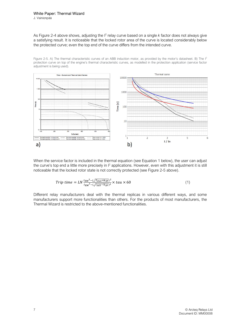J. Vainionpää

As Figure 2-4 above shows, adjusting the  $I^2$  relay curve based on a single k factor does not always give a satisfying result. It is noticeable that the locked rotor area of the curve is located considerably below the protected curve; even the top end of the curve differs from the intended curve.

Figure 2-5. A) The thermal characteristic curves of an ABB induction motor, as provided by the motor's datasheet. B) The  $1^2$ protection curve on top of the engine's thermal characteristic curves, as modelled in the protection application (service factor adjustment is being used).



When the service factor is included in the thermal equation (see Equation 1 below), the user can adjust the curve's top end a little more precisely in  $l^2$  applications. However, even with this adjustment it is still noticeable that the locked rotor state is not correctly protected (see Figure 2-5 above).

$$
Triple \ time = LN \frac{I_{EM}^2 - (\sqrt{T_{stat} \times k_{SF}})^2}{I_{EM}^2 - (\sqrt{I_{SET} - k_{SF}})^2} \times tau \times 60
$$
\n<sup>(1)</sup>

Different relay manufacturers deal with the thermal replicas in various different ways, and some manufacturers support more functionalities than others. For the products of most manufacturers, the Thermal Wizard is restricted to the above-mentioned functionalities.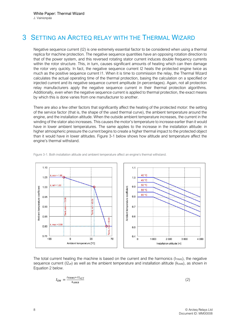#### 3 SETTING AN ARCTEQ RELAY WITH THE THERMAL WIZARD

Negative sequence current (I2) is one extremely essential factor to be considered when using a thermal replica for machine protection. The negative sequence quantities have an opposing rotation direction to that of the power system, and this reversed rotating stator current induces double frequency currents within the rotor structure. This, in turn, causes significant amounts of heating which can then damage the rotor very quickly. In fact, the negative sequence current I2 heats the protected engine twice as much as the positive sequence current I1. When it is time to commission the relay, the Thermal Wizard calculates the actual operating time of the thermal protection, basing the calculation on a specified or injected current and its negative sequence current amplitude (in percentages). Again, not all protection relay manufacturers apply the negative sequence current in their thermal protection algorithms. Additionally, even when the negative sequence current is applied to thermal protection, the exact means by which this is done varies from one manufacturer to another.

There are also a few other factors that significantly affect the heating of the protected motor: the setting of the service factor (that is, the shape of the used thermal curve), the ambient temperature around the engine, and the installation altitude. When the outside ambient temperature increases, the current in the winding of the stator also increases. This causes the motor's temperature to increase earlier than it would have in lower ambient temperatures. The same applies to the increase in the installation altitude: in higher atmospheric pressure the current begins to create a higher thermal impact to the protected object than it would have in lower altitudes. Figure 3-1 below shows how altitude and temperature affect the engine's thermal withstand.



Figure 3-1. Both installation altitude and ambient temperature affect an engine's thermal withstand.

The total current heating the machine is based on the current and the harmonics ( $I_{TRMS}$ ), the negative sequence current (I2<sub>eff</sub>) as well as the ambient temperature and installation altitude ( $k_{AMB}$ ), as shown in Equation 2 below.

$$
I_{EM} = \frac{I_{TRMS} + I2_{eff}}{k_{AMB}}\tag{2}
$$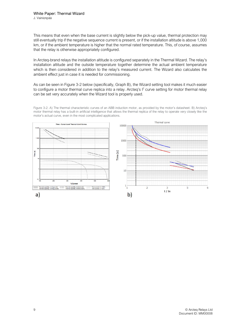This means that even when the base current is slightly below the pick-up value, thermal protection may still eventually trip if the negative sequence current is present, or if the installation altitude is above 1,000 km, or if the ambient temperature is higher that the normal rated temperature. This, of course, assumes that the relay is otherwise appropriately configured.

In Arcteq-brand relays the installation altitude is configured separately in the Thermal Wizard. The relay's installation altitude and the outside temperature together determine the actual ambient temperature which is then considered in addition to the relay's measured current. The Wizard also calculates the ambient effect just in case it is needed for commissioning.

As can be seen in Figure 3-2 below (specifically, Graph B), the Wizard setting tool makes it much easier to configure a motor thermal curve replica into a relay. Arcteq's  $l^2$  curve setting for motor thermal relay can be set very accurately when the Wizard tool is properly used.

Figure 3-2. A) The thermal characteristic curves of an ABB induction motor, as provided by the motor's datasheet. B) Arcteq's motor thermal relay has a built-in artificial intelligence that allows the thermal replica of the relay to operate very closely like the motor's actual curve, even in the most complicated applications.

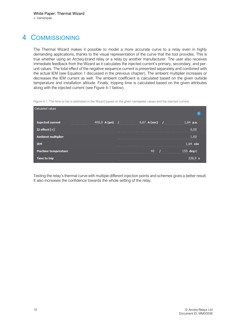# 4 COMMISSIONING

The Thermal Wizard makes it possible to model a more accurate curve to a relay even in highly demanding applications, thanks to the visual representation of the curve that the tool provides. This is true whether using an Arcteq-brand relay or a relay by another manufacturer. The user also receives immediate feedback from the Wizard as it calculates the injected current's primary, secondary, and perunit values. The total effect of the negative sequence current is presented separately and combined with the actual IEM (see Equation 1 discussed in the previous chapter). The ambient multiplier increases or decreases the IEM current as well. The ambient coefficient is calculated based on the given outside temperature and installation altitude. Finally, tripping time is calculated based on the given attributes along with the injected current (see Figure 4-1 below).

Figure 4-1. The time to trip is estimated in the Wizard based on the given nameplate values and the injected current.

| Calculated values          |                                         |              | Ŧ                             |
|----------------------------|-----------------------------------------|--------------|-------------------------------|
| <b>Injected current</b>    | 400,0 A (pri)<br>2006年6月10日10月10日10月10日 | 6,67 A (sec) | 1,64 p.u.<br>. <del>.</del>   |
| I2 effect $[+]$            |                                         |              | 0,00                          |
| <b>Ambient multiplier</b>  |                                         |              | 1.00<br>计进行时间进行时间进行时间 计中间 计中间 |
| <b>IEM</b>                 |                                         |              | $1,64$ xIn                    |
| <b>Machine temperature</b> |                                         | 40           | 155 deg C<br>.                |
| Time to trip               |                                         |              | 226.9                         |

Testing the relay's thermal curve with multiple different injection points and schemes gives a better result. It also increases the confidence towards the whole setting of the relay.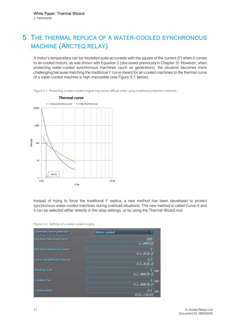# 5 THE THERMAL REPLICA OF A WATER-COOLED SYNCHRONOUS MACHINE (ARCTEQ RELAY)

A motor's temperature can be modelled quite accurately with the square of the current  $(I^2)$  when it comes to air-cooled motors, as was shown with Equation 2 (discussed previously in Chapter 3). However, when protecting water-cooled synchronous machines (such as generators), the situation becomes more challenging because matching the traditional <sup>12</sup> curve meant for air-cooled machines to the thermal curve of a water-cooled machine is nigh impossible (see Figure 5-1 below).



Figure 5-1. Protecting a water-cooled engine may prove difficult when using traditional protection methods.

Instead of trying to force the traditional  $I^2$  replica, a new method has been developed to protect synchronous water-cooled machines during overload situations. This new method is called Curve-X and it can be selected either directly in the relay settings, or by using the Thermal Wizard tool.

Figure 5-2. Settings of a water-cooled engine.

| registed supported                                       | rootna |                      |
|----------------------------------------------------------|--------|----------------------|
| dnoe kaa kaad aanye<br><b>Alternative</b><br>a se portug | ----   |                      |
| Hadney bigh food carry.                                  |        |                      |
|                                                          |        | 41.50                |
| publications in                                          |        | $0.1 - 10$           |
| <b>Heating Top</b><br><b>TELESCO</b>                     |        | m<br><b>ALL ROOP</b> |
| Looking Time                                             |        | lan.                 |
|                                                          |        | rik                  |
| lutter.<br>Lookers                                       |        | DП<br>rdi<br>1.01.1  |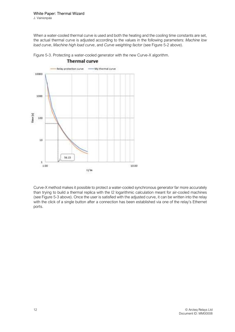When a water-cooled thermal curve is used and both the heating and the cooling time constants are set, the actual thermal curve is adjusted according to the values in the following parameters: Machine low load curve, Machine high load curve, and Curve weighting factor (see Figure 5-2 above).

Figure 5-3. Protecting a water-cooled generator with the new Curve-X algorithm.



**Thermal** curve

Curve-X method makes it possible to protect a water-cooled synchronous generator far more accurately than trying to build a thermal replica with the I2 logarithmic calculation meant for air-cooled machines (see Figure 5-3 above). Once the user is satisfied with the adjusted curve, it can be written into the relay with the click of a single button after a connection has been established via one of the relay's Ethernet ports.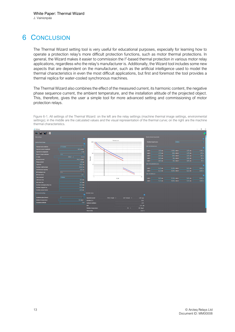# 6 CONCLUSION

The Thermal Wizard setting tool is very useful for educational purposes, especially for learning how to operate a protection relay's more difficult protection functions, such as motor thermal protections. In general, the Wizard makes it easier to commission the I<sup>2</sup>-based thermal protection in various motor relay applications, regardless who the relay's manufacturer is. Additionally, the Wizard tool includes some new aspects that are dependent on the manufacturer, such as the artificial intelligence used to model the thermal characteristics in even the most difficult applications, but first and foremost the tool provides a thermal replica for water-cooled synchronous machines.

The Thermal Wizard also combines the effect of the measured current, its harmonic content, the negative phase sequence current, the ambient temperature, and the installation altitude of the projected object. This, therefore, gives the user a simple tool for more advanced setting and commissioning of motor protection relays.

Figure 6-1. All settings of the Thermal Wizard: on the left are the relay settings (machine thermal image settings, environmental settings); in the middle are the calculated values and the visual representation of the thermal curve; on the right are the machine thermal characteristics.